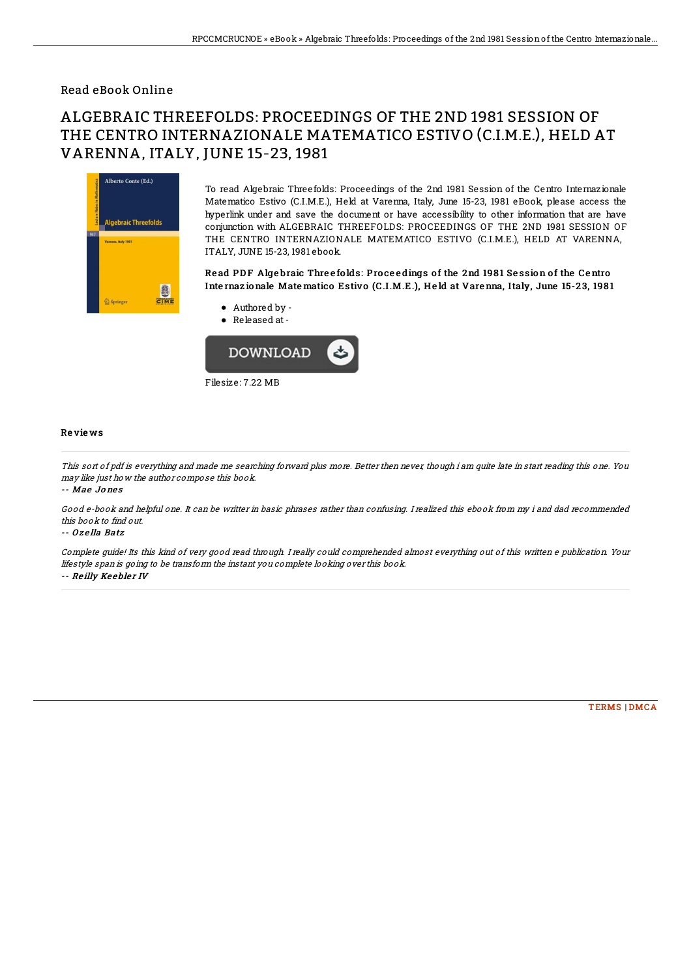## Read eBook Online

# ALGEBRAIC THREEFOLDS: PROCEEDINGS OF THE 2ND 1981 SESSION OF THE CENTRO INTERNAZIONALE MATEMATICO ESTIVO (C.I.M.E.), HELD AT VARENNA, ITALY, JUNE 15-23, 1981



To read Algebraic Threefolds: Proceedings of the 2nd 1981 Session of the Centro Internazionale Matematico Estivo (C.I.M.E.), Held at Varenna, Italy, June 15-23, 1981 eBook, please access the hyperlink under and save the document or have accessibility to other information that are have conjunction with ALGEBRAIC THREEFOLDS: PROCEEDINGS OF THE 2ND 1981 SESSION OF THE CENTRO INTERNAZIONALE MATEMATICO ESTIVO (C.I.M.E.), HELD AT VARENNA, ITALY, JUNE 15-23, 1981 ebook.

### Read PDF Algebraic Threefolds: Proceedings of the 2nd 1981 Session of the Centro Internazionale Matematico Estivo (C.I.M.E.), Held at Varenna, Italy, June 15-23, 1981

- Authored by -
- Released at-



#### Re vie ws

This sort of pdf is everything and made me searching forward plus more. Better then never, though i am quite late in start reading this one. You may like just how the author compose this book.

-- Mae Jo ne s

Good e-book and helpful one. It can be writter in basic phrases rather than confusing. I realized this ebook from my i and dad recommended this book to find out.

#### -- O <sup>z</sup> e lla Batz

Complete guide! Its this kind of very good read through. I really could comprehended almost everything out of this written <sup>e</sup> publication. Your lifestyle span is going to be transform the instant you complete looking over this book. -- Reilly Keebler IV

[TERMS](http://bookera.tech/terms.html) | [DMCA](http://bookera.tech/dmca.html)